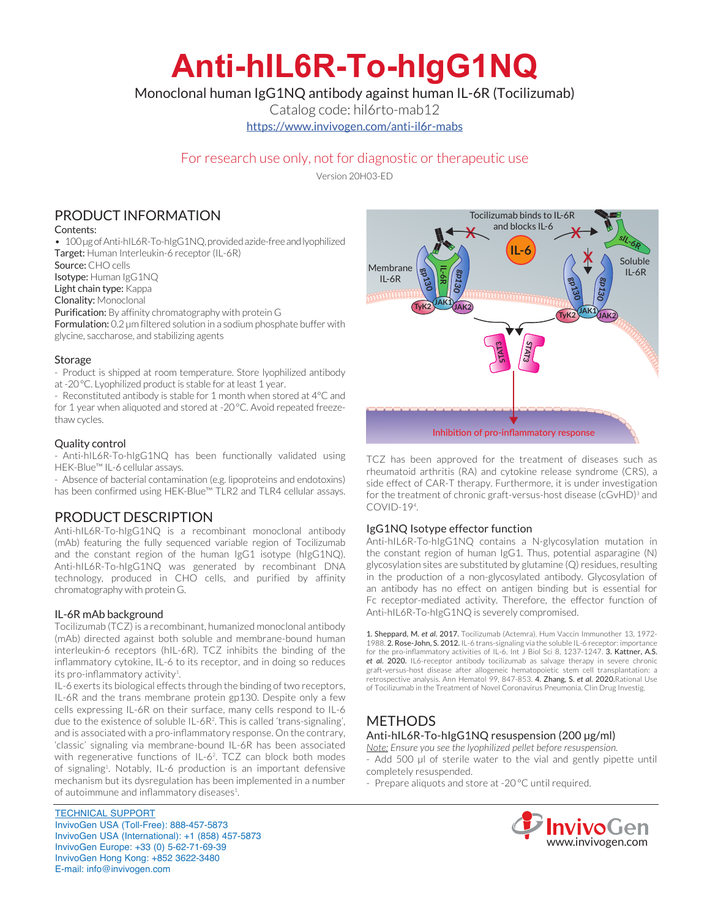# **Anti-hIL6R-To-hIgG1NQ**

Monoclonal human IgG1NQ antibody against human IL-6R (Tocilizumab)

Catalog code: hil6rto-mab12

https://www.invivogen.com/anti-il6r-mabs

## For research use only, not for diagnostic or therapeutic use

Version 20H03-ED

## PRODUCT INFORMATION

Contents:

• 100 µg of Anti-hIL6R-To-hIgG1NQ, provided azide-free and lyophilized Target: Human Interleukin-6 receptor (IL-6R)

Source: CHO cells

Isotype: Human IgG1NQ

Light chain type: Kappa

Clonality: Monoclonal

Purification: By affinity chromatography with protein G Formulation: 0.2 µm filtered solution in a sodium phosphate buffer with

glycine, saccharose, and stabilizing agents

#### **Storage**

- Product is shipped at room temperature. Store lyophilized antibody at -20°C. Lyophilized product is stable for at least 1 year.

- Reconstituted antibody is stable for 1 month when stored at 4°C and for 1 year when aliquoted and stored at -20°C. Avoid repeated freezethaw cycles.

#### Quality control

- Anti-hIL6R-To-hIgG1NQ has been functionally validated using HEK-Blue™ IL-6 cellular assays.

- Absence of bacterial contamination (e.g. lipoproteins and endotoxins) has been confirmed using HEK-Blue™ TLR2 and TLR4 cellular assays.

## PRODUCT DESCRIPTION

Anti-hIL6R-To-hIgG1NQ is a recombinant monoclonal antibody (mAb) featuring the fully sequenced variable region of Tocilizumab and the constant region of the human IgG1 isotype (hIgG1NQ). Anti-hIL6R-To-hIgG1NQ was generated by recombinant DNA technology, produced in CHO cells, and purified by affinity chromatography with protein G.

#### IL-6R mAb background

Tocilizumab (TCZ) is a recombinant, humanized monoclonal antibody (mAb) directed against both soluble and membrane-bound human interleukin-6 receptors (hIL-6R). TCZ inhibits the binding of the inflammatory cytokine, IL-6 to its receptor, and in doing so reduces its pro-inflammatory activity<sup>1</sup>.

IL-6 exerts its biological effects through the binding of two receptors, IL-6R and the trans membrane protein gp130. Despite only a few cells expressing IL-6R on their surface, many cells respond to IL-6 due to the existence of soluble IL-6R2 . This is called 'trans-signaling', and is associated with a pro-inflammatory response. On the contrary, 'classic' signaling via membrane-bound IL-6R has been associated with regenerative functions of IL-6<sup>2</sup>. TCZ can block both modes of signaling<sup>1</sup>. Notably, IL-6 production is an important defensive mechanism but its dysregulation has been implemented in a number of autoimmune and inflammatory diseases<sup>1</sup>.

TECHNICAL SUPPORT InvivoGen USA (Toll‑Free): 888-457-5873 InvivoGen USA (International): +1 (858) 457-5873 InvivoGen Europe: +33 (0) 5-62-71-69-39 InvivoGen Hong Kong: +852 3622-3480 E-mail: info@invivogen.com



TCZ has been approved for the treatment of diseases such as rheumatoid arthritis (RA) and cytokine release syndrome (CRS), a side effect of CAR-T therapy. Furthermore, it is under investigation for the treatment of chronic graft-versus-host disease (cGvHD)<sup>3</sup> and COVID-194 .

#### IgG1NQ Isotype effector function

Anti-hIL6R-To-hIgG1NQ contains a N-glycosylation mutation in the constant region of human IgG1. Thus, potential asparagine (N) glycosylation sites are substituted by glutamine (Q) residues, resulting in the production of a non-glycosylated antibody. Glycosylation of an antibody has no effect on antigen binding but is essential for Fc receptor-mediated activity. Therefore, the effector function of Anti-hIL6R-To-hIgG1NQ is severely compromised.

1. Sheppard, M. *et al*. 2017. Tocilizumab (Actemra). Hum Vaccin Immunother 13, 1972- 1988. 2. Rose-John, S. 2012. IL-6 trans-signaling via the soluble IL-6 receptor: importance for the pro-inflammatory activities of IL-6. Int J Biol Sci 8, 1237-1247. 3. Kattner, A.S. *et al*. 2020. IL6-receptor antibody tocilizumab as salvage therapy in severe chronic graft-versus-host disease after allogeneic hematopoietic stem cell transplantation: a retrospective analysis. Ann Hematol 99, 847-853. 4. Zhang, S. *et al.* 2020.Rational Use of Tocilizumab in the Treatment of Novel Coronavirus Pneumonia. Clin Drug Investig.

## METHODS

#### Anti-hIL6R-To-hIgG1NQ resuspension (200 µg/ml)

*Note: Ensure you see the lyophilized pellet before resuspension.*

- Add 500 µl of sterile water to the vial and gently pipette until completely resuspended.

- Prepare aliquots and store at -20 °C until required.